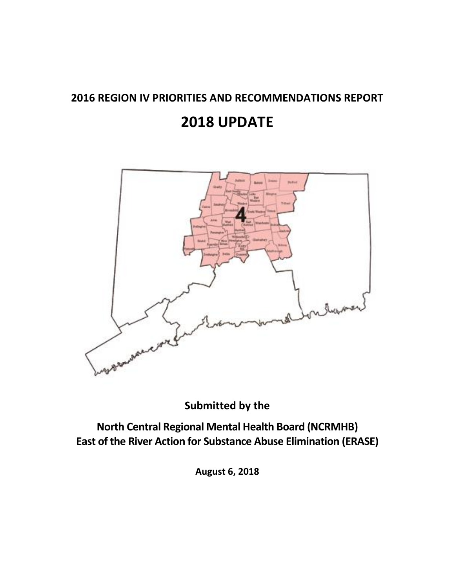# **2016 REGION IV PRIORITIES AND RECOMMENDATIONS REPORT**

# **2018 UPDATE**



**Submitted by the** 

**North Central Regional Mental Health Board (NCRMHB) East of the River Action for Substance Abuse Elimination (ERASE)**

**August 6, 2018**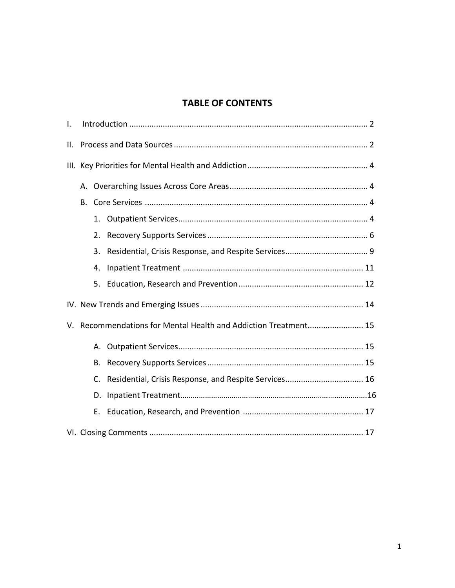# **TABLE OF CONTENTS**

| Τ. |                                                              |                                                          |  |  |  |  |
|----|--------------------------------------------------------------|----------------------------------------------------------|--|--|--|--|
| Ш. |                                                              |                                                          |  |  |  |  |
|    |                                                              |                                                          |  |  |  |  |
|    |                                                              |                                                          |  |  |  |  |
|    | В.                                                           |                                                          |  |  |  |  |
|    |                                                              |                                                          |  |  |  |  |
|    | 2.                                                           |                                                          |  |  |  |  |
|    | 3.                                                           |                                                          |  |  |  |  |
|    | 4.                                                           |                                                          |  |  |  |  |
|    |                                                              |                                                          |  |  |  |  |
|    |                                                              |                                                          |  |  |  |  |
| V. | Recommendations for Mental Health and Addiction Treatment 15 |                                                          |  |  |  |  |
|    |                                                              |                                                          |  |  |  |  |
|    | В.                                                           |                                                          |  |  |  |  |
|    |                                                              | C. Residential, Crisis Response, and Respite Services 16 |  |  |  |  |
|    | D.                                                           |                                                          |  |  |  |  |
|    |                                                              |                                                          |  |  |  |  |
|    |                                                              |                                                          |  |  |  |  |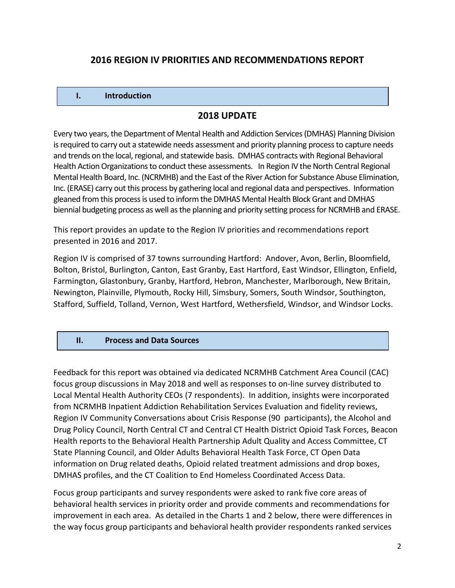# **2016 REGION IV PRIORITIES AND RECOMMENDATIONS REPORT**

#### **I. Introduction**

#### **2018 UPDATE**

Every two years, the Department of Mental Health and Addiction Services (DMHAS) Planning Division is required to carry out a statewide needs assessment and priority planning process to capture needs and trends on the local, regional, and statewide basis. DMHAS contracts with Regional Behavioral Health Action Organizations to conduct these assessments. In Region IV the North Central Regional Mental Health Board, Inc. (NCRMHB) and the East of the River Action for Substance Abuse Elimination, Inc. (ERASE) carry out this process by gathering local and regional data and perspectives. Information gleaned from this process is used to inform the DMHAS Mental Health Block Grant and DMHAS biennial budgeting process as well as the planning and priority setting process for NCRMHB and ERASE.

This report provides an update to the Region IV priorities and recommendations report presented in 2016 and 2017.

Region IV is comprised of 37 towns surrounding Hartford: Andover, Avon, Berlin, Bloomfield, Bolton, Bristol, Burlington, Canton, East Granby, East Hartford, East Windsor, Ellington, Enfield, Farmington, Glastonbury, Granby, Hartford, Hebron, Manchester, Marlborough, New Britain, Newington, Plainville, Plymouth, Rocky Hill, Simsbury, Somers, South Windsor, Southington, Stafford, Suffield, Tolland, Vernon, West Hartford, Wethersfield, Windsor, and Windsor Locks.

#### **II. Process and Data Sources**

Feedback for this report was obtained via dedicated NCRMHB Catchment Area Council (CAC) focus group discussions in May 2018 and well as responses to on-line survey distributed to Local Mental Health Authority CEOs (7 respondents). In addition, insights were incorporated from NCRMHB Inpatient Addiction Rehabilitation Services Evaluation and fidelity reviews, Region IV Community Conversations about Crisis Response (90 participants), the Alcohol and Drug Policy Council, North Central CT and Central CT Health District Opioid Task Forces, Beacon Health reports to the Behavioral Health Partnership Adult Quality and Access Committee, CT State Planning Council, and Older Adults Behavioral Health Task Force, CT Open Data information on Drug related deaths, Opioid related treatment admissions and drop boxes, DMHAS profiles, and the CT Coalition to End Homeless Coordinated Access Data.

Focus group participants and survey respondents were asked to rank five core areas of behavioral health services in priority order and provide comments and recommendations for improvement in each area. As detailed in the Charts 1 and 2 below, there were differences in the way focus group participants and behavioral health provider respondents ranked services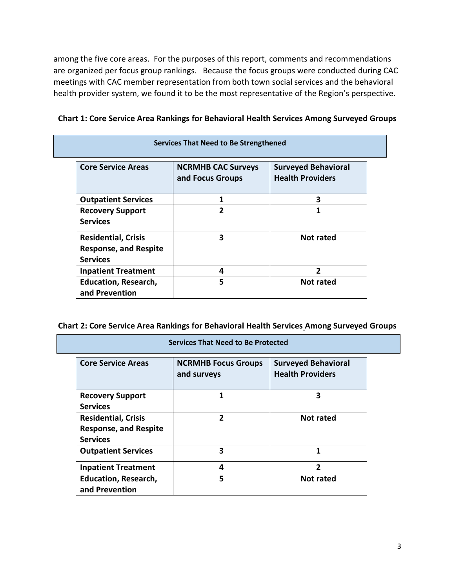among the five core areas. For the purposes of this report, comments and recommendations are organized per focus group rankings. Because the focus groups were conducted during CAC meetings with CAC member representation from both town social services and the behavioral health provider system, we found it to be the most representative of the Region's perspective.

| <b>Core Service Areas</b>                                                     | <b>NCRMHB CAC Surveys</b><br>and Focus Groups | <b>Surveyed Behavioral</b><br><b>Health Providers</b> |
|-------------------------------------------------------------------------------|-----------------------------------------------|-------------------------------------------------------|
| <b>Outpatient Services</b>                                                    |                                               | 3                                                     |
| <b>Recovery Support</b><br><b>Services</b>                                    | $\mathbf{z}$                                  | 1                                                     |
| <b>Residential, Crisis</b><br><b>Response, and Respite</b><br><b>Services</b> | 3                                             | Not rated                                             |
| <b>Inpatient Treatment</b>                                                    | 4                                             | $\mathfrak z$                                         |
| <b>Education, Research,</b><br>and Prevention                                 | 5                                             | Not rated                                             |

#### **Chart 1: Core Service Area Rankings for Behavioral Health Services Among Surveyed Groups**

| Chart 2: Core Service Area Rankings for Behavioral Health Services Among Surveyed Groups |  |
|------------------------------------------------------------------------------------------|--|
|------------------------------------------------------------------------------------------|--|

**Services That Need to Be Protected**

| Services That Need to be Protected |                                           |                                                       |  |  |  |  |
|------------------------------------|-------------------------------------------|-------------------------------------------------------|--|--|--|--|
| <b>Core Service Areas</b>          | <b>NCRMHB Focus Groups</b><br>and surveys | <b>Surveyed Behavioral</b><br><b>Health Providers</b> |  |  |  |  |
| <b>Recovery Support</b>            |                                           | 3                                                     |  |  |  |  |
| <b>Services</b>                    |                                           |                                                       |  |  |  |  |
| <b>Residential, Crisis</b>         | 2                                         | <b>Not rated</b>                                      |  |  |  |  |
| <b>Response, and Respite</b>       |                                           |                                                       |  |  |  |  |
| <b>Services</b>                    |                                           |                                                       |  |  |  |  |
| <b>Outpatient Services</b>         | 3                                         | 1                                                     |  |  |  |  |
| <b>Inpatient Treatment</b>         | 4                                         | $\mathfrak z$                                         |  |  |  |  |
| <b>Education, Research,</b>        | 5                                         | <b>Not rated</b>                                      |  |  |  |  |
| and Prevention                     |                                           |                                                       |  |  |  |  |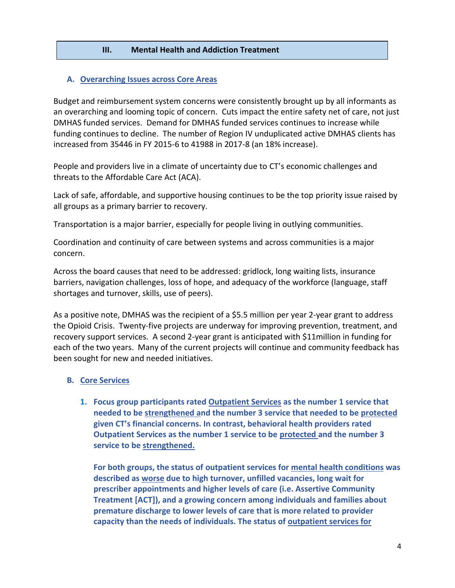#### **III. Mental Health and Addiction Treatment**

#### **A. Overarching Issues across Core Areas**

Budget and reimbursement system concerns were consistently brought up by all informants as an overarching and looming topic of concern. Cuts impact the entire safety net of care, not just DMHAS funded services. Demand for DMHAS funded services continues to increase while funding continues to decline. The number of Region IV unduplicated active DMHAS clients has increased from 35446 in FY 2015-6 to 41988 in 2017-8 (an 18% increase).

People and providers live in a climate of uncertainty due to CT's economic challenges and threats to the Affordable Care Act (ACA).

Lack of safe, affordable, and supportive housing continues to be the top priority issue raised by all groups as a primary barrier to recovery.

Transportation is a major barrier, especially for people living in outlying communities.

Coordination and continuity of care between systems and across communities is a major concern.

Across the board causes that need to be addressed: gridlock, long waiting lists, insurance barriers, navigation challenges, loss of hope, and adequacy of the workforce (language, staff shortages and turnover, skills, use of peers).

As a positive note, DMHAS was the recipient of a \$5.5 million per year 2-year grant to address the Opioid Crisis. Twenty-five projects are underway for improving prevention, treatment, and recovery support services. A second 2-year grant is anticipated with \$11million in funding for each of the two years. Many of the current projects will continue and community feedback has been sought for new and needed initiatives.

#### **B. Core Services**

**1. Focus group participants rated Outpatient Services as the number 1 service that needed to be strengthened and the number 3 service that needed to be protected given CT's financial concerns. In contrast, behavioral health providers rated Outpatient Services as the number 1 service to be protected and the number 3 service to be strengthened.**

**For both groups, the status of outpatient services for mental health conditions was described as worse due to high turnover, unfilled vacancies, long wait for prescriber appointments and higher levels of care (i.e. Assertive Community Treatment [ACT]), and a growing concern among individuals and families about premature discharge to lower levels of care that is more related to provider capacity than the needs of individuals. The status of outpatient services for**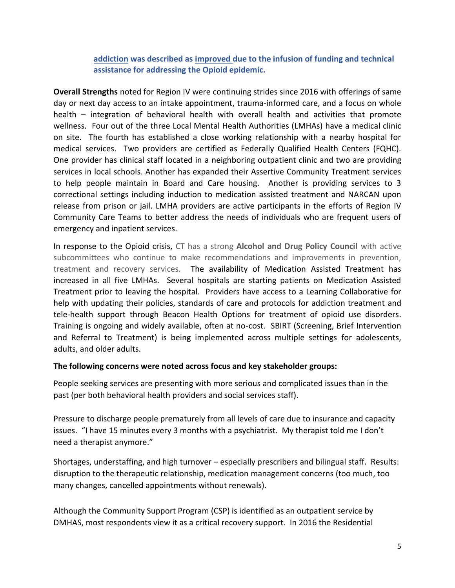**addiction was described as improved due to the infusion of funding and technical assistance for addressing the Opioid epidemic.**

**Overall Strengths** noted for Region IV were continuing strides since 2016 with offerings of same day or next day access to an intake appointment, trauma-informed care, and a focus on whole health – integration of behavioral health with overall health and activities that promote wellness. Four out of the three Local Mental Health Authorities (LMHAs) have a medical clinic on site. The fourth has established a close working relationship with a nearby hospital for medical services. Two providers are certified as Federally Qualified Health Centers (FQHC). One provider has clinical staff located in a neighboring outpatient clinic and two are providing services in local schools. Another has expanded their Assertive Community Treatment services to help people maintain in Board and Care housing. Another is providing services to 3 correctional settings including induction to medication assisted treatment and NARCAN upon release from prison or jail. LMHA providers are active participants in the efforts of Region IV Community Care Teams to better address the needs of individuals who are frequent users of emergency and inpatient services.

In response to the Opioid crisis, CT has a strong **Alcohol and Drug Policy Council** with active subcommittees who continue to make recommendations and improvements in prevention, treatment and recovery services. The availability of Medication Assisted Treatment has increased in all five LMHAs. Several hospitals are starting patients on Medication Assisted Treatment prior to leaving the hospital. Providers have access to a Learning Collaborative for help with updating their policies, standards of care and protocols for addiction treatment and tele-health support through Beacon Health Options for treatment of opioid use disorders. Training is ongoing and widely available, often at no-cost. SBIRT (Screening, Brief Intervention and Referral to Treatment) is being implemented across multiple settings for adolescents, adults, and older adults.

#### **The following concerns were noted across focus and key stakeholder groups:**

People seeking services are presenting with more serious and complicated issues than in the past (per both behavioral health providers and social services staff).

Pressure to discharge people prematurely from all levels of care due to insurance and capacity issues. "I have 15 minutes every 3 months with a psychiatrist. My therapist told me I don't need a therapist anymore."

Shortages, understaffing, and high turnover – especially prescribers and bilingual staff. Results: disruption to the therapeutic relationship, medication management concerns (too much, too many changes, cancelled appointments without renewals).

Although the Community Support Program (CSP) is identified as an outpatient service by DMHAS, most respondents view it as a critical recovery support. In 2016 the Residential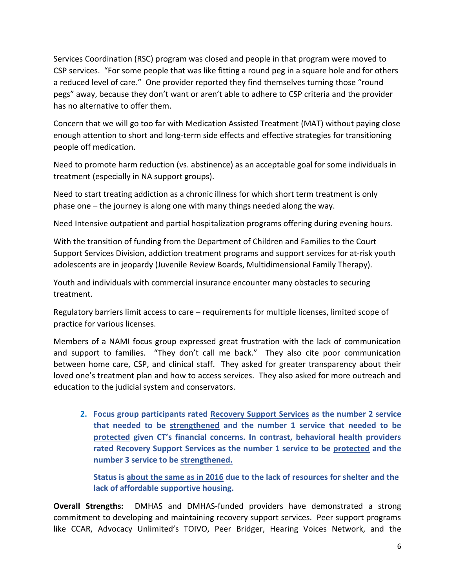Services Coordination (RSC) program was closed and people in that program were moved to CSP services. "For some people that was like fitting a round peg in a square hole and for others a reduced level of care." One provider reported they find themselves turning those "round pegs" away, because they don't want or aren't able to adhere to CSP criteria and the provider has no alternative to offer them.

Concern that we will go too far with Medication Assisted Treatment (MAT) without paying close enough attention to short and long-term side effects and effective strategies for transitioning people off medication.

Need to promote harm reduction (vs. abstinence) as an acceptable goal for some individuals in treatment (especially in NA support groups).

Need to start treating addiction as a chronic illness for which short term treatment is only phase one – the journey is along one with many things needed along the way.

Need Intensive outpatient and partial hospitalization programs offering during evening hours.

With the transition of funding from the Department of Children and Families to the Court Support Services Division, addiction treatment programs and support services for at-risk youth adolescents are in jeopardy (Juvenile Review Boards, Multidimensional Family Therapy).

Youth and individuals with commercial insurance encounter many obstacles to securing treatment.

Regulatory barriers limit access to care – requirements for multiple licenses, limited scope of practice for various licenses.

Members of a NAMI focus group expressed great frustration with the lack of communication and support to families. "They don't call me back." They also cite poor communication between home care, CSP, and clinical staff. They asked for greater transparency about their loved one's treatment plan and how to access services. They also asked for more outreach and education to the judicial system and conservators.

**2. Focus group participants rated Recovery Support Services as the number 2 service that needed to be strengthened and the number 1 service that needed to be protected given CT's financial concerns. In contrast, behavioral health providers rated Recovery Support Services as the number 1 service to be protected and the number 3 service to be strengthened.**

**Status is about the same as in 2016 due to the lack of resources for shelter and the lack of affordable supportive housing.**

**Overall Strengths:** DMHAS and DMHAS-funded providers have demonstrated a strong commitment to developing and maintaining recovery support services. Peer support programs like CCAR, Advocacy Unlimited's TOIVO, Peer Bridger, Hearing Voices Network, and the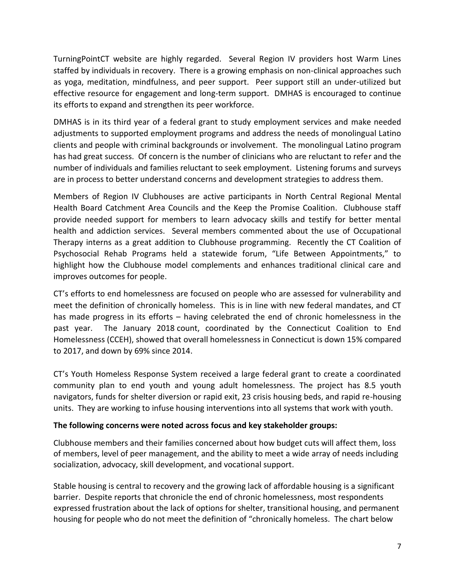TurningPointCT website are highly regarded. Several Region IV providers host Warm Lines staffed by individuals in recovery. There is a growing emphasis on non-clinical approaches such as yoga, meditation, mindfulness, and peer support. Peer support still an under-utilized but effective resource for engagement and long-term support. DMHAS is encouraged to continue its efforts to expand and strengthen its peer workforce.

DMHAS is in its third year of a federal grant to study employment services and make needed adjustments to supported employment programs and address the needs of monolingual Latino clients and people with criminal backgrounds or involvement. The monolingual Latino program has had great success. Of concern is the number of clinicians who are reluctant to refer and the number of individuals and families reluctant to seek employment. Listening forums and surveys are in process to better understand concerns and development strategies to address them.

Members of Region IV Clubhouses are active participants in North Central Regional Mental Health Board Catchment Area Councils and the Keep the Promise Coalition. Clubhouse staff provide needed support for members to learn advocacy skills and testify for better mental health and addiction services. Several members commented about the use of Occupational Therapy interns as a great addition to Clubhouse programming. Recently the CT Coalition of Psychosocial Rehab Programs held a statewide forum, "Life Between Appointments," to highlight how the Clubhouse model complements and enhances traditional clinical care and improves outcomes for people.

CT's efforts to end homelessness are focused on people who are assessed for vulnerability and meet the definition of chronically homeless. This is in line with new federal mandates, and CT has made progress in its efforts – having celebrated the end of chronic homelessness in the past year. The January 2018 count, coordinated by the Connecticut Coalition to End Homelessness (CCEH), showed that overall homelessness in Connecticut is down 15% compared to 2017, and down by 69% since 2014.

CT's Youth Homeless Response System received a large federal grant to create a coordinated community plan to end youth and young adult homelessness. The project has 8.5 youth navigators, funds for shelter diversion or rapid exit, 23 crisis housing beds, and rapid re-housing units. They are working to infuse housing interventions into all systems that work with youth.

#### **The following concerns were noted across focus and key stakeholder groups:**

Clubhouse members and their families concerned about how budget cuts will affect them, loss of members, level of peer management, and the ability to meet a wide array of needs including socialization, advocacy, skill development, and vocational support.

Stable housing is central to recovery and the growing lack of affordable housing is a significant barrier. Despite reports that chronicle the end of chronic homelessness, most respondents expressed frustration about the lack of options for shelter, transitional housing, and permanent housing for people who do not meet the definition of "chronically homeless. The chart below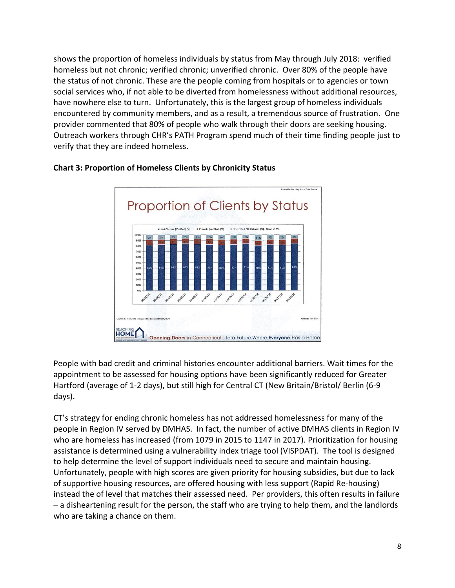shows the proportion of homeless individuals by status from May through July 2018: verified homeless but not chronic; verified chronic; unverified chronic. Over 80% of the people have the status of not chronic. These are the people coming from hospitals or to agencies or town social services who, if not able to be diverted from homelessness without additional resources, have nowhere else to turn. Unfortunately, this is the largest group of homeless individuals encountered by community members, and as a result, a tremendous source of frustration. One provider commented that 80% of people who walk through their doors are seeking housing. Outreach workers through CHR's PATH Program spend much of their time finding people just to verify that they are indeed homeless.



#### **Chart 3: Proportion of Homeless Clients by Chronicity Status**

People with bad credit and criminal histories encounter additional barriers. Wait times for the appointment to be assessed for housing options have been significantly reduced for Greater Hartford (average of 1-2 days), but still high for Central CT (New Britain/Bristol/ Berlin (6-9 days).

CT's strategy for ending chronic homeless has not addressed homelessness for many of the people in Region IV served by DMHAS. In fact, the number of active DMHAS clients in Region IV who are homeless has increased (from 1079 in 2015 to 1147 in 2017). Prioritization for housing assistance is determined using a vulnerability index triage tool (VISPDAT). The tool is designed to help determine the level of support individuals need to secure and maintain housing. Unfortunately, people with high scores are given priority for housing subsidies, but due to lack of supportive housing resources, are offered housing with less support (Rapid Re-housing) instead the of level that matches their assessed need. Per providers, this often results in failure – a disheartening result for the person, the staff who are trying to help them, and the landlords who are taking a chance on them.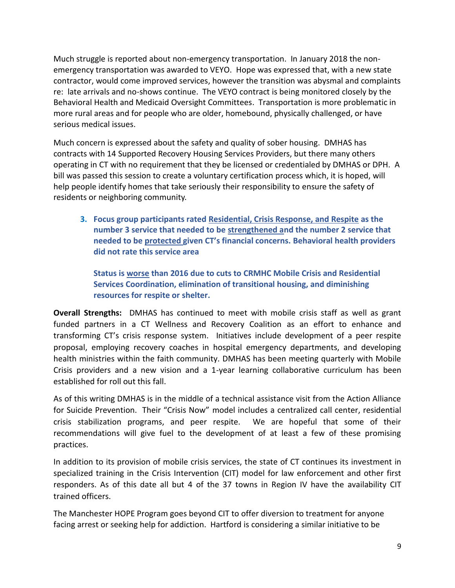Much struggle is reported about non-emergency transportation. In January 2018 the nonemergency transportation was awarded to VEYO. Hope was expressed that, with a new state contractor, would come improved services, however the transition was abysmal and complaints re: late arrivals and no-shows continue. The VEYO contract is being monitored closely by the Behavioral Health and Medicaid Oversight Committees. Transportation is more problematic in more rural areas and for people who are older, homebound, physically challenged, or have serious medical issues.

Much concern is expressed about the safety and quality of sober housing. DMHAS has contracts with 14 Supported Recovery Housing Services Providers, but there many others operating in CT with no requirement that they be licensed or credentialed by DMHAS or DPH. A bill was passed this session to create a voluntary certification process which, it is hoped, will help people identify homes that take seriously their responsibility to ensure the safety of residents or neighboring community.

**3. Focus group participants rated Residential, Crisis Response, and Respite as the number 3 service that needed to be strengthened and the number 2 service that needed to be protected given CT's financial concerns. Behavioral health providers did not rate this service area**

**Status is worse than 2016 due to cuts to CRMHC Mobile Crisis and Residential Services Coordination, elimination of transitional housing, and diminishing resources for respite or shelter.**

**Overall Strengths:** DMHAS has continued to meet with mobile crisis staff as well as grant funded partners in a CT Wellness and Recovery Coalition as an effort to enhance and transforming CT's crisis response system. Initiatives include development of a peer respite proposal, employing recovery coaches in hospital emergency departments, and developing health ministries within the faith community. DMHAS has been meeting quarterly with Mobile Crisis providers and a new vision and a 1-year learning collaborative curriculum has been established for roll out this fall.

As of this writing DMHAS is in the middle of a technical assistance visit from the Action Alliance for Suicide Prevention. Their "Crisis Now" model includes a centralized call center, residential crisis stabilization programs, and peer respite. We are hopeful that some of their recommendations will give fuel to the development of at least a few of these promising practices.

In addition to its provision of mobile crisis services, the state of CT continues its investment in specialized training in the Crisis Intervention (CIT) model for law enforcement and other first responders. As of this date all but 4 of the 37 towns in Region IV have the availability CIT trained officers.

The Manchester HOPE Program goes beyond CIT to offer diversion to treatment for anyone facing arrest or seeking help for addiction. Hartford is considering a similar initiative to be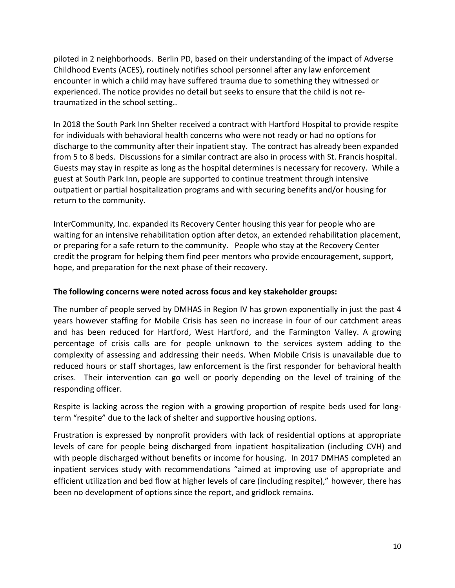piloted in 2 neighborhoods. Berlin PD, based on their understanding of the impact of Adverse Childhood Events (ACES), routinely notifies school personnel after any law enforcement encounter in which a child may have suffered trauma due to something they witnessed or experienced. The notice provides no detail but seeks to ensure that the child is not retraumatized in the school setting..

In 2018 the South Park Inn Shelter received a contract with Hartford Hospital to provide respite for individuals with behavioral health concerns who were not ready or had no options for discharge to the community after their inpatient stay. The contract has already been expanded from 5 to 8 beds. Discussions for a similar contract are also in process with St. Francis hospital. Guests may stay in respite as long as the hospital determines is necessary for recovery. While a guest at South Park Inn, people are supported to continue treatment through intensive outpatient or partial hospitalization programs and with securing benefits and/or housing for return to the community.

InterCommunity, Inc. expanded its Recovery Center housing this year for people who are waiting for an intensive rehabilitation option after detox, an extended rehabilitation placement, or preparing for a safe return to the community. People who stay at the Recovery Center credit the program for helping them find peer mentors who provide encouragement, support, hope, and preparation for the next phase of their recovery.

#### **The following concerns were noted across focus and key stakeholder groups:**

**T**he number of people served by DMHAS in Region IV has grown exponentially in just the past 4 years however staffing for Mobile Crisis has seen no increase in four of our catchment areas and has been reduced for Hartford, West Hartford, and the Farmington Valley. A growing percentage of crisis calls are for people unknown to the services system adding to the complexity of assessing and addressing their needs. When Mobile Crisis is unavailable due to reduced hours or staff shortages, law enforcement is the first responder for behavioral health crises. Their intervention can go well or poorly depending on the level of training of the responding officer.

Respite is lacking across the region with a growing proportion of respite beds used for longterm "respite" due to the lack of shelter and supportive housing options.

Frustration is expressed by nonprofit providers with lack of residential options at appropriate levels of care for people being discharged from inpatient hospitalization (including CVH) and with people discharged without benefits or income for housing. In 2017 DMHAS completed an inpatient services study with recommendations "aimed at improving use of appropriate and efficient utilization and bed flow at higher levels of care (including respite)," however, there has been no development of options since the report, and gridlock remains.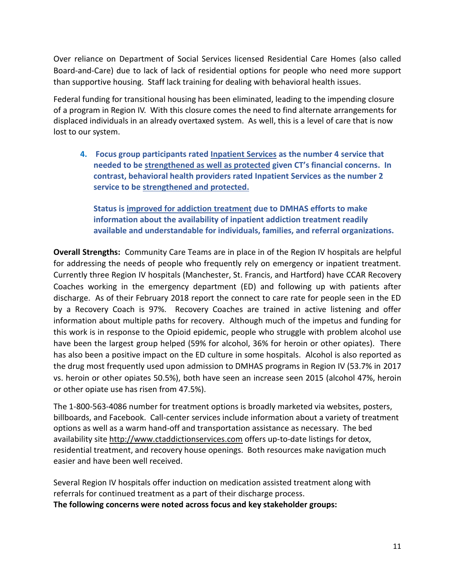Over reliance on Department of Social Services licensed Residential Care Homes (also called Board-and-Care) due to lack of lack of residential options for people who need more support than supportive housing. Staff lack training for dealing with behavioral health issues.

Federal funding for transitional housing has been eliminated, leading to the impending closure of a program in Region IV. With this closure comes the need to find alternate arrangements for displaced individuals in an already overtaxed system. As well, this is a level of care that is now lost to our system.

**4. Focus group participants rated Inpatient Services as the number 4 service that needed to be strengthened as well as protected given CT's financial concerns. In contrast, behavioral health providers rated Inpatient Services as the number 2 service to be strengthened and protected.**

**Status is improved for addiction treatment due to DMHAS efforts to make information about the availability of inpatient addiction treatment readily available and understandable for individuals, families, and referral organizations.** 

**Overall Strengths:** Community Care Teams are in place in of the Region IV hospitals are helpful for addressing the needs of people who frequently rely on emergency or inpatient treatment. Currently three Region IV hospitals (Manchester, St. Francis, and Hartford) have CCAR Recovery Coaches working in the emergency department (ED) and following up with patients after discharge. As of their February 2018 report the connect to care rate for people seen in the ED by a Recovery Coach is 97%. Recovery Coaches are trained in active listening and offer information about multiple paths for recovery. Although much of the impetus and funding for this work is in response to the Opioid epidemic, people who struggle with problem alcohol use have been the largest group helped (59% for alcohol, 36% for heroin or other opiates). There has also been a positive impact on the ED culture in some hospitals. Alcohol is also reported as the drug most frequently used upon admission to DMHAS programs in Region IV (53.7% in 2017 vs. heroin or other opiates 50.5%), both have seen an increase seen 2015 (alcohol 47%, heroin or other opiate use has risen from 47.5%).

The 1-800-563-4086 number for treatment options is broadly marketed via websites, posters, billboards, and Facebook. Call-center services include information about a variety of treatment options as well as a warm hand-off and transportation assistance as necessary. The bed availability site [http://www.ctaddictionservices.com](http://www.ctaddictionservices.com/) offers up-to-date listings for detox, residential treatment, and recovery house openings. Both resources make navigation much easier and have been well received.

Several Region IV hospitals offer induction on medication assisted treatment along with referrals for continued treatment as a part of their discharge process. **The following concerns were noted across focus and key stakeholder groups:**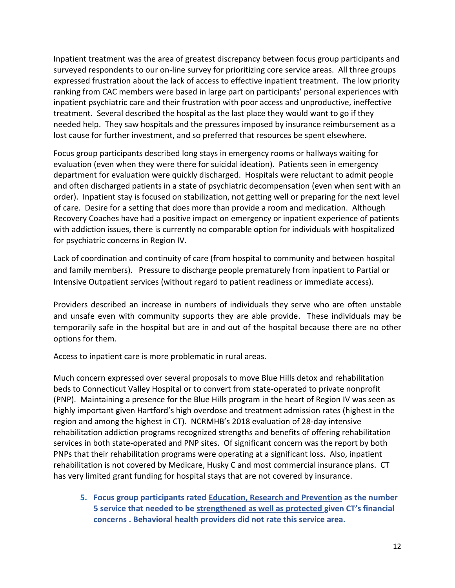Inpatient treatment was the area of greatest discrepancy between focus group participants and surveyed respondents to our on-line survey for prioritizing core service areas. All three groups expressed frustration about the lack of access to effective inpatient treatment. The low priority ranking from CAC members were based in large part on participants' personal experiences with inpatient psychiatric care and their frustration with poor access and unproductive, ineffective treatment. Several described the hospital as the last place they would want to go if they needed help. They saw hospitals and the pressures imposed by insurance reimbursement as a lost cause for further investment, and so preferred that resources be spent elsewhere.

Focus group participants described long stays in emergency rooms or hallways waiting for evaluation (even when they were there for suicidal ideation). Patients seen in emergency department for evaluation were quickly discharged. Hospitals were reluctant to admit people and often discharged patients in a state of psychiatric decompensation (even when sent with an order). Inpatient stay is focused on stabilization, not getting well or preparing for the next level of care. Desire for a setting that does more than provide a room and medication. Although Recovery Coaches have had a positive impact on emergency or inpatient experience of patients with addiction issues, there is currently no comparable option for individuals with hospitalized for psychiatric concerns in Region IV.

Lack of coordination and continuity of care (from hospital to community and between hospital and family members). Pressure to discharge people prematurely from inpatient to Partial or Intensive Outpatient services (without regard to patient readiness or immediate access).

Providers described an increase in numbers of individuals they serve who are often unstable and unsafe even with community supports they are able provide. These individuals may be temporarily safe in the hospital but are in and out of the hospital because there are no other options for them.

Access to inpatient care is more problematic in rural areas.

Much concern expressed over several proposals to move Blue Hills detox and rehabilitation beds to Connecticut Valley Hospital or to convert from state-operated to private nonprofit (PNP). Maintaining a presence for the Blue Hills program in the heart of Region IV was seen as highly important given Hartford's high overdose and treatment admission rates (highest in the region and among the highest in CT). NCRMHB's 2018 evaluation of 28-day intensive rehabilitation addiction programs recognized strengths and benefits of offering rehabilitation services in both state-operated and PNP sites. Of significant concern was the report by both PNPs that their rehabilitation programs were operating at a significant loss. Also, inpatient rehabilitation is not covered by Medicare, Husky C and most commercial insurance plans. CT has very limited grant funding for hospital stays that are not covered by insurance.

**5. Focus group participants rated Education, Research and Prevention as the number 5 service that needed to be strengthened as well as protected given CT's financial concerns . Behavioral health providers did not rate this service area.**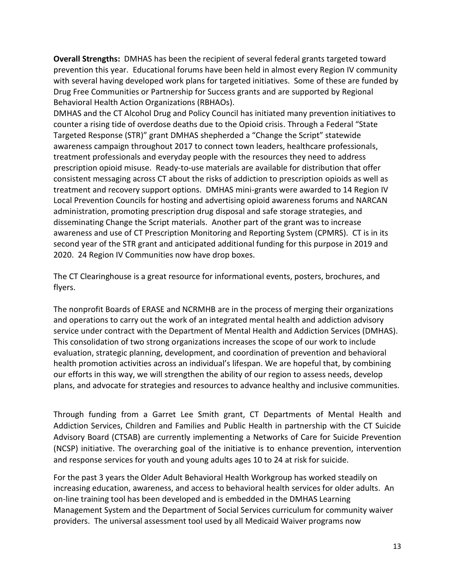**Overall Strengths:** DMHAS has been the recipient of several federal grants targeted toward prevention this year. Educational forums have been held in almost every Region IV community with several having developed work plans for targeted initiatives. Some of these are funded by Drug Free Communities or Partnership for Success grants and are supported by Regional Behavioral Health Action Organizations (RBHAOs).

DMHAS and the CT Alcohol Drug and Policy Council has initiated many prevention initiatives to counter a rising tide of overdose deaths due to the Opioid crisis. Through a Federal "State Targeted Response (STR)" grant DMHAS shepherded a "Change the Script" statewide awareness campaign throughout 2017 to connect town leaders, healthcare professionals, treatment professionals and everyday people with the resources they need to address prescription opioid misuse. Ready-to-use materials are available for distribution that offer consistent messaging across CT about the risks of addiction to prescription opioids as well as treatment and recovery support options. DMHAS mini-grants were awarded to 14 Region IV Local Prevention Councils for hosting and advertising opioid awareness forums and NARCAN administration, promoting prescription drug disposal and safe storage strategies, and disseminating Change the Script materials. Another part of the grant was to increase awareness and use of CT Prescription Monitoring and Reporting System (CPMRS). CT is in its second year of the STR grant and anticipated additional funding for this purpose in 2019 and 2020. 24 Region IV Communities now have drop boxes.

The CT Clearinghouse is a great resource for informational events, posters, brochures, and flyers.

The nonprofit Boards of ERASE and NCRMHB are in the process of merging their organizations and operations to carry out the work of an integrated mental health and addiction advisory service under contract with the Department of Mental Health and Addiction Services (DMHAS). This consolidation of two strong organizations increases the scope of our work to include evaluation, strategic planning, development, and coordination of prevention and behavioral health promotion activities across an individual's lifespan. We are hopeful that, by combining our efforts in this way, we will strengthen the ability of our region to assess needs, develop plans, and advocate for strategies and resources to advance healthy and inclusive communities.

Through funding from a Garret Lee Smith grant, CT Departments of Mental Health and Addiction Services, Children and Families and Public Health in partnership with the CT Suicide Advisory Board (CTSAB) are currently implementing a Networks of Care for Suicide Prevention (NCSP) initiative. The overarching goal of the initiative is to enhance prevention, intervention and response services for youth and young adults ages 10 to 24 at risk for suicide.

For the past 3 years the Older Adult Behavioral Health Workgroup has worked steadily on increasing education, awareness, and access to behavioral health services for older adults. An on-line training tool has been developed and is embedded in the DMHAS Learning Management System and the Department of Social Services curriculum for community waiver providers. The universal assessment tool used by all Medicaid Waiver programs now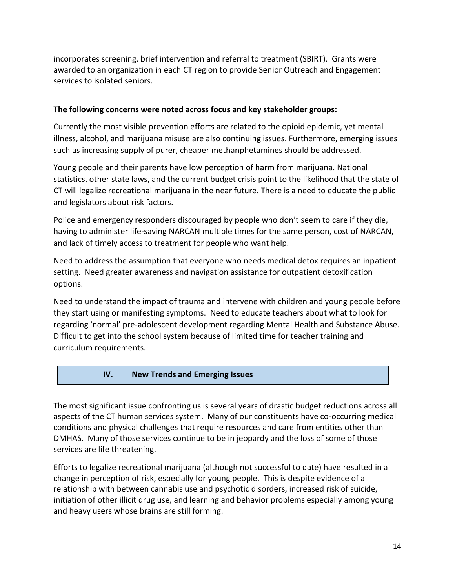incorporates screening, brief intervention and referral to treatment (SBIRT). Grants were awarded to an organization in each CT region to provide Senior Outreach and Engagement services to isolated seniors.

#### **The following concerns were noted across focus and key stakeholder groups:**

Currently the most visible prevention efforts are related to the opioid epidemic, yet mental illness, alcohol, and marijuana misuse are also continuing issues. Furthermore, emerging issues such as increasing supply of purer, cheaper methanphetamines should be addressed.

Young people and their parents have low perception of harm from marijuana. National statistics, other state laws, and the current budget crisis point to the likelihood that the state of CT will legalize recreational marijuana in the near future. There is a need to educate the public and legislators about risk factors.

Police and emergency responders discouraged by people who don't seem to care if they die, having to administer life-saving NARCAN multiple times for the same person, cost of NARCAN, and lack of timely access to treatment for people who want help.

Need to address the assumption that everyone who needs medical detox requires an inpatient setting. Need greater awareness and navigation assistance for outpatient detoxification options.

Need to understand the impact of trauma and intervene with children and young people before they start using or manifesting symptoms. Need to educate teachers about what to look for regarding 'normal' pre-adolescent development regarding Mental Health and Substance Abuse. Difficult to get into the school system because of limited time for teacher training and curriculum requirements.

#### **IV. New Trends and Emerging Issues**

**III.**

The most significant issue confronting us is several years of drastic budget reductions across all aspects of the CT human services system. Many of our constituents have co-occurring medical conditions and physical challenges that require resources and care from entities other than DMHAS. Many of those services continue to be in jeopardy and the loss of some of those services are life threatening.

Efforts to legalize recreational marijuana (although not successful to date) have resulted in a change in perception of risk, especially for young people. This is despite evidence of a relationship with between cannabis use and psychotic disorders, increased risk of suicide, initiation of other illicit drug use, and learning and behavior problems especially among young and heavy users whose brains are still forming.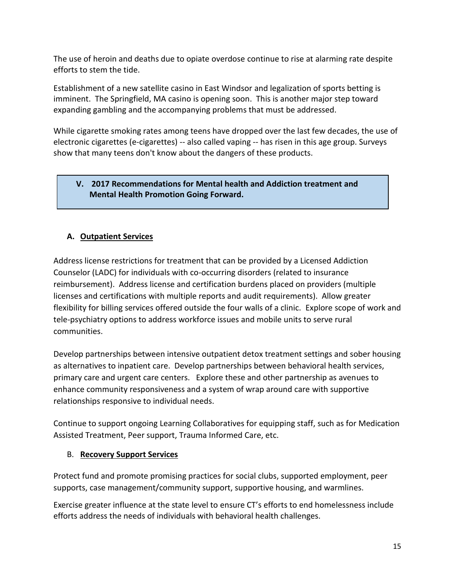The use of heroin and deaths due to opiate overdose continue to rise at alarming rate despite efforts to stem the tide.

Establishment of a new satellite casino in East Windsor and legalization of sports betting is imminent. The Springfield, MA casino is opening soon. This is another major step toward expanding gambling and the accompanying problems that must be addressed.

While cigarette smoking rates among teens have dropped over the last few decades, the use of electronic cigarettes (e-cigarettes) -- also called vaping -- has risen in this age group. Surveys show that many teens don't know about the dangers of these products.

## **V. 2017 Recommendations for Mental health and Addiction treatment and Mental Health Promotion Going Forward.**

# **A. Outpatient Services**

Address license restrictions for treatment that can be provided by a Licensed Addiction Counselor (LADC) for individuals with co-occurring disorders (related to insurance reimbursement). Address license and certification burdens placed on providers (multiple licenses and certifications with multiple reports and audit requirements). Allow greater flexibility for billing services offered outside the four walls of a clinic. Explore scope of work and tele-psychiatry options to address workforce issues and mobile units to serve rural communities.

Develop partnerships between intensive outpatient detox treatment settings and sober housing as alternatives to inpatient care. Develop partnerships between behavioral health services, primary care and urgent care centers. Explore these and other partnership as avenues to enhance community responsiveness and a system of wrap around care with supportive relationships responsive to individual needs.

Continue to support ongoing Learning Collaboratives for equipping staff, such as for Medication Assisted Treatment, Peer support, Trauma Informed Care, etc.

#### B. **Recovery Support Services**

Protect fund and promote promising practices for social clubs, supported employment, peer supports, case management/community support, supportive housing, and warmlines.

Exercise greater influence at the state level to ensure CT's efforts to end homelessness include efforts address the needs of individuals with behavioral health challenges.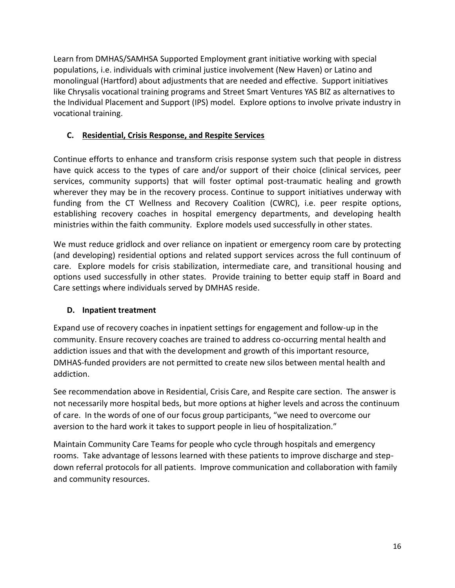Learn from DMHAS/SAMHSA Supported Employment grant initiative working with special populations, i.e. individuals with criminal justice involvement (New Haven) or Latino and monolingual (Hartford) about adjustments that are needed and effective. Support initiatives like Chrysalis vocational training programs and Street Smart Ventures YAS BIZ as alternatives to the Individual Placement and Support (IPS) model. Explore options to involve private industry in vocational training.

## **C. Residential, Crisis Response, and Respite Services**

Continue efforts to enhance and transform crisis response system such that people in distress have quick access to the types of care and/or support of their choice (clinical services, peer services, community supports) that will foster optimal post-traumatic healing and growth wherever they may be in the recovery process. Continue to support initiatives underway with funding from the CT Wellness and Recovery Coalition (CWRC), i.e. peer respite options, establishing recovery coaches in hospital emergency departments, and developing health ministries within the faith community. Explore models used successfully in other states.

We must reduce gridlock and over reliance on inpatient or emergency room care by protecting (and developing) residential options and related support services across the full continuum of care. Explore models for crisis stabilization, intermediate care, and transitional housing and options used successfully in other states. Provide training to better equip staff in Board and Care settings where individuals served by DMHAS reside.

## **D. Inpatient treatment**

Expand use of recovery coaches in inpatient settings for engagement and follow-up in the community. Ensure recovery coaches are trained to address co-occurring mental health and addiction issues and that with the development and growth of this important resource, DMHAS-funded providers are not permitted to create new silos between mental health and addiction.

See recommendation above in Residential, Crisis Care, and Respite care section. The answer is not necessarily more hospital beds, but more options at higher levels and across the continuum of care. In the words of one of our focus group participants, "we need to overcome our aversion to the hard work it takes to support people in lieu of hospitalization."

Maintain Community Care Teams for people who cycle through hospitals and emergency rooms. Take advantage of lessons learned with these patients to improve discharge and stepdown referral protocols for all patients. Improve communication and collaboration with family and community resources.